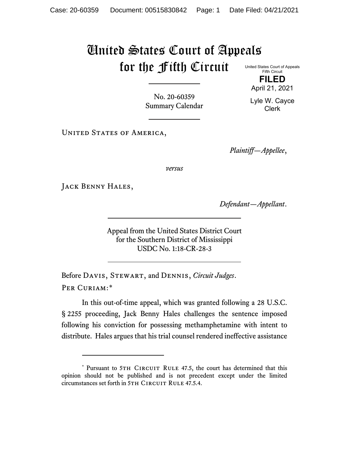## United States Court of Appeals for the Fifth Circuit

United States Court of Appeals Fifth Circuit **FILED**

April 21, 2021

No. 20-60359 Summary Calendar

Lyle W. Cayce Clerk

UNITED STATES OF AMERICA,

*Plaintiff—Appellee*,

*versus*

JACK BENNY HALES,

*Defendant—Appellant*.

Appeal from the United States District Court for the Southern District of Mississippi USDC No. 1:18-CR-28-3

Before Davis, Stewart, and Dennis, *Circuit Judges*. Per Curiam:[\\*](#page-0-0)

In this out-of-time appeal, which was granted following a 28 U.S.C. § 2255 proceeding, Jack Benny Hales challenges the sentence imposed following his conviction for possessing methamphetamine with intent to distribute. Hales argues that his trial counsel rendered ineffective assistance

<span id="page-0-0"></span><sup>\*</sup> Pursuant to 5TH CIRCUIT RULE 47.5, the court has determined that this opinion should not be published and is not precedent except under the limited circumstances set forth in 5TH CIRCUIT RULE 47.5.4.